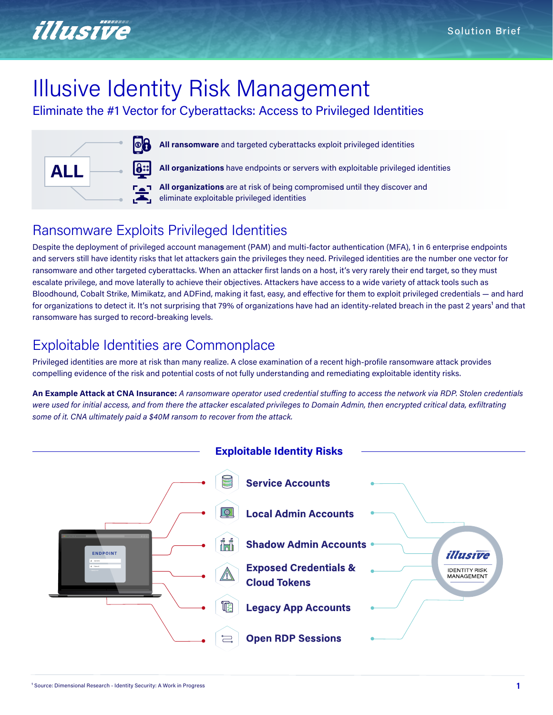

# Illusive Identity Risk Management

Eliminate the #1 Vector for Cyberattacks: Access to Privileged Identities



**All ransomware** and targeted cyberattacks exploit privileged identities

**All organizations** have endpoints or servers with exploitable privileged identities

**All organizations** are at risk of being compromised until they discover and eliminate exploitable privileged identities

# Ransomware Exploits Privileged Identities

Despite the deployment of privileged account management (PAM) and multi-factor authentication (MFA), 1 in 6 enterprise endpoints and servers still have identity risks that let attackers gain the privileges they need. Privileged identities are the number one vector for ransomware and other targeted cyberattacks. When an attacker first lands on a host, it's very rarely their end target, so they must escalate privilege, and move laterally to achieve their objectives. Attackers have access to a wide variety of attack tools such as Bloodhound, Cobalt Strike, Mimikatz, and ADFind, making it fast, easy, and effective for them to exploit privileged credentials ― and hard for organizations to detect it. It's not surprising that 79% of organizations have had an identity-related breach in the past 2 years<sup>1</sup> and that ransomware has surged to record-breaking levels.

# Exploitable Identities are Commonplace

Privileged identities are more at risk than many realize. A close examination of a recent high-profile ransomware attack provides compelling evidence of the risk and potential costs of not fully understanding and remediating exploitable identity risks.

**An Example Attack at CNA Insurance:** *A ransomware operator used credential stuffing to access the network via RDP. Stolen credentials were used for initial access, and from there the attacker escalated privileges to Domain Admin, then encrypted critical data, exfiltrating some of it. CNA ultimately paid a \$40M ransom to recover from the attack.*